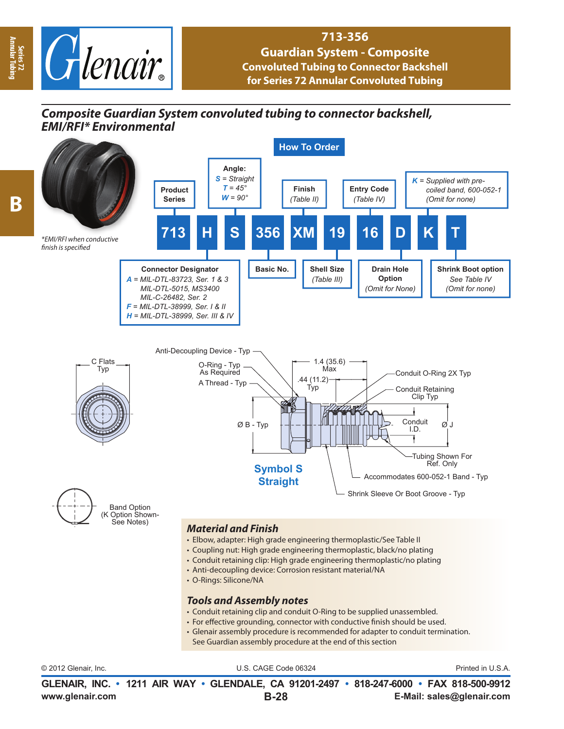

## **713-356**

**Guardian System - Composite Convoluted Tubing to Connector Backshell for Series 72 Annular Convoluted Tubing** 

## *Composite Guardian System convoluted tubing to connector backshell, EMI/RFI\* Environmental*



**B**

**Series 72 Annular Tubing**

© 2012 Glenair, Inc. U.S. CAGE Code 06324 Printed in U.S.A.

**www.glenair.com E-Mail: sales@glenair.com GLENAIR, INC. • 1211 AIR WAY • GLENDALE, CA 91201-2497 • 818-247-6000 • FAX 818-500-9912 B-28**